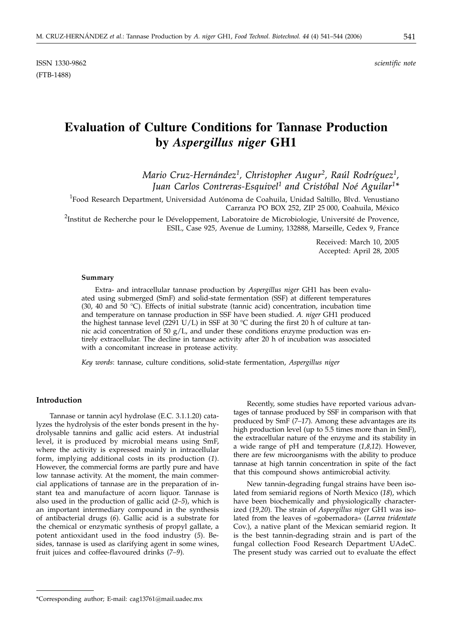ISSN 1330-9862 *scientific note* (FTB-1488)

# **Evaluation of Culture Conditions for Tannase Production by** *Aspergillus niger* **GH1**

*Mario Cruz-Hernández1, Christopher Augur2, Raúl Rodríguez1, Juan Carlos Contreras-Esquivel1 and Cristóbal Noé Aguilar1\**

 $^1$ Food Research Department, Universidad Autónoma de Coahuila, Unidad Saltillo, Blvd. Venustiano Carranza PO BOX 252, ZIP 25 000, Coahuila, México

<sup>2</sup>Institut de Recherche pour le Développement, Laboratoire de Microbiologie, Université de Provence, ESIL, Case 925, Avenue de Luminy, 132888, Marseille, Cedex 9, France

> Received: March 10, 2005 Accepted: April 28, 2005

### **Summary**

Extra- and intracellular tannase production by *Aspergillus niger* GH1 has been evaluated using submerged (SmF) and solid-state fermentation (SSF) at different temperatures (30, 40 and 50 °C). Effects of initial substrate (tannic acid) concentration, incubation time and temperature on tannase production in SSF have been studied. *A. niger* GH1 produced the highest tannase level (2291 U/L) in SSF at 30 °C during the first 20 h of culture at tannic acid concentration of 50  $g/L$ , and under these conditions enzyme production was entirely extracellular. The decline in tannase activity after 20 h of incubation was associated with a concomitant increase in protease activity.

*Key words*: tannase, culture conditions, solid-state fermentation, *Aspergillus niger*

## **Introduction**

Tannase or tannin acyl hydrolase (E.C. 3.1.1.20) catalyzes the hydrolysis of the ester bonds present in the hydrolysable tannins and gallic acid esters. At industrial level, it is produced by microbial means using SmF, where the activity is expressed mainly in intracellular form, implying additional costs in its production (*1*). However, the commercial forms are partly pure and have low tannase activity. At the moment, the main commercial applications of tannase are in the preparation of instant tea and manufacture of acorn liquor. Tannase is also used in the production of gallic acid (*2–5*), which is an important intermediary compound in the synthesis of antibacterial drugs (*6*). Gallic acid is a substrate for the chemical or enzymatic synthesis of propyl gallate, a potent antioxidant used in the food industry (*5*). Besides, tannase is used as clarifying agent in some wines, fruit juices and coffee-flavoured drinks (*7–9*).

Recently, some studies have reported various advantages of tannase produced by SSF in comparison with that produced by SmF (*7–17*). Among these advantages are its high production level (up to 5.5 times more than in SmF), the extracellular nature of the enzyme and its stability in a wide range of pH and temperature (*1,8,12*). However, there are few microorganisms with the ability to produce tannase at high tannin concentration in spite of the fact that this compound shows antimicrobial activity.

New tannin-degrading fungal strains have been isolated from semiarid regions of North Mexico (*18*), which have been biochemically and physiologically characterized (*19,20*). The strain of *Aspergillus niger* GH1 was isolated from the leaves of »gobernadora« (*Larrea tridentate* Cov.)*,* a native plant of the Mexican semiarid region. It is the best tannin-degrading strain and is part of the fungal collection Food Research Department UAdeC. The present study was carried out to evaluate the effect

<sup>\*</sup>Corresponding author; E-mail: cag13761*@*mail.uadec.mx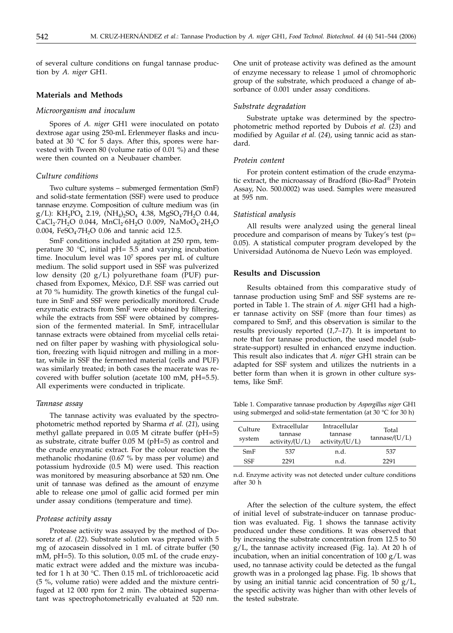of several culture conditions on fungal tannase production by *A. niger* GH1.

## **Materials and Methods**

## *Microorganism and inoculum*

Spores of *A. niger* GH1 were inoculated on potato dextrose agar using 250-mL Erlenmeyer flasks and incubated at 30  $\degree$ C for 5 days. After this, spores were harvested with Tween 80 (volume ratio of 0.01 %) and these were then counted on a Neubauer chamber.

# *Culture conditions*

Two culture systems – submerged fermentation (SmF) and solid-state fermentation (SSF) were used to produce tannase enzyme. Composition of culture medium was (in g/L): KH<sub>2</sub>PO<sub>4</sub> 2.19, (NH<sub>4</sub>)<sub>2</sub>SO<sub>4</sub> 4.38, MgSO<sub>4</sub>·7H<sub>2</sub>O 0.44, CaCl<sub>2</sub>·7H<sub>2</sub>O 0.044, MnCl<sub>2</sub>·6H<sub>2</sub>O 0.009, NaMoO<sub>4</sub>·2H<sub>2</sub>O 0.004, FeSO<sub>4</sub>.7H<sub>2</sub>O 0.06 and tannic acid 12.5.

SmF conditions included agitation at 250 rpm, temperature 30  $^{\circ}$ C, initial pH= 5.5 and varying incubation time. Inoculum level was 107 spores per mL of culture medium. The solid support used in SSF was pulverized low density (20 g/L) polyurethane foam (PUF) purchased from Expomex, México, D.F. SSF was carried out at 70 % humidity. The growth kinetics of the fungal culture in SmF and SSF were periodically monitored. Crude enzymatic extracts from SmF were obtained by filtering, while the extracts from SSF were obtained by compression of the fermented material. In SmF, intracellular tannase extracts were obtained from mycelial cells retained on filter paper by washing with physiological solution, freezing with liquid nitrogen and milling in a mortar, while in SSF the fermented material (cells and PUF) was similarly treated; in both cases the macerate was recovered with buffer solution (acetate 100 mM, pH=5.5). All experiments were conducted in triplicate.

#### *Tannase assay*

The tannase activity was evaluated by the spectrophotometric method reported by Sharma *et al.* (*21*), using methyl gallate prepared in 0.05 M citrate buffer (pH=5) as substrate, citrate buffer 0.05 M (pH=5) as control and the crude enzymatic extract. For the colour reaction the methanolic rhodanine (0.67 % by mass per volume) and potassium hydroxide (0.5 M) were used. This reaction was monitored by measuring absorbance at 520 nm. One unit of tannase was defined as the amount of enzyme able to release one µmol of gallic acid formed per min under assay conditions (temperature and time).

### *Protease activity assay*

Protease activity was assayed by the method of Dosoretz *et al.* (*22*). Substrate solution was prepared with 5 mg of azocasein dissolved in 1 mL of citrate buffer (50 mM, pH=5). To this solution, 0.05 mL of the crude enzymatic extract were added and the mixture was incubated for 1 h at 30 °C. Then 0.15 mL of trichloroacetic acid (5 %, volume ratio) were added and the mixture centrifuged at 12 000 rpm for 2 min. The obtained supernatant was spectrophotometrically evaluated at 520 nm.

One unit of protease activity was defined as the amount of enzyme necessary to release 1 µmol of chromophoric group of the substrate, which produced a change of absorbance of 0.001 under assay conditions.

# *Substrate degradation*

Substrate uptake was determined by the spectrophotometric method reported by Dubois *et al.* (*23*) and modified by Aguilar *et al.* (*24*), using tannic acid as standard.

# *Protein content*

For protein content estimation of the crude enzymatic extract, the microassay of Bradford (Bio-Rad® Protein Assay, No. 500.0002) was used. Samples were measured at 595 nm.

#### *Statistical analysis*

All results were analyzed using the general lineal procedure and comparison of means by Tukey's test (p= 0.05). A statistical computer program developed by the Universidad Autónoma de Nuevo León was employed.

#### **Results and Discussion**

Results obtained from this comparative study of tannase production using SmF and SSF systems are reported in Table 1. The strain of *A. niger* GH1 had a higher tannase activity on SSF (more than four times) as compared to SmF, and this observation is similar to the results previously reported (*1,7–17*). It is important to note that for tannase production, the used model (substrate-support) resulted in enhanced enzyme induction. This result also indicates that *A. niger* GH1 strain can be adapted for SSF system and utilizes the nutrients in a better form than when it is grown in other culture systems, like SmF.

Table 1. Comparative tannase production by *Aspergillus niger* GH1 using submerged and solid-state fermentation (at 30 °C for 30 h)

| Culture<br>system | Extracellular<br>tannase<br>activity/(U/L) | Intracellular<br>tannase<br>activity/(U/L) | Total<br>tannase/(U/L) |
|-------------------|--------------------------------------------|--------------------------------------------|------------------------|
| SmF               | 537                                        | n.d.                                       | 537                    |
| SSF               | 2291                                       | n.d.                                       | 2291                   |

n.d. Enzyme activity was not detected under culture conditions after 30 h

After the selection of the culture system, the effect of initial level of substrate-inducer on tannase production was evaluated. Fig. 1 shows the tannase activity produced under these conditions. It was observed that by increasing the substrate concentration from 12.5 to 50 g/L, the tannase activity increased (Fig. 1a). At 20 h of incubation, when an initial concentration of  $100 \text{ g/L}$  was used, no tannase activity could be detected as the fungal growth was in a prolonged lag phase. Fig. 1b shows that by using an initial tannic acid concentration of  $50 \text{ g/L}$ , the specific activity was higher than with other levels of the tested substrate.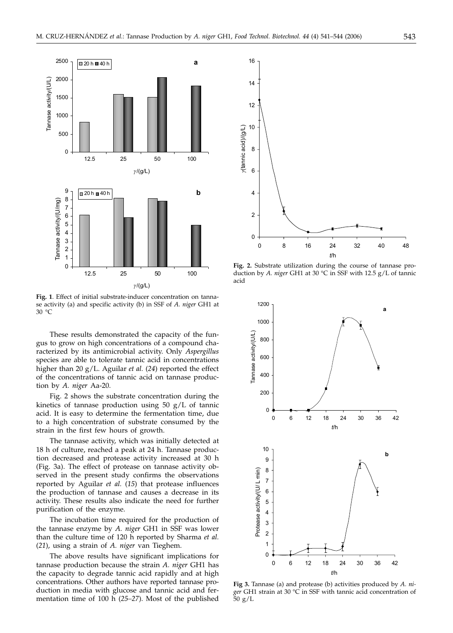

**Fig. 1**. Effect of initial substrate-inducer concentration on tannase activity (a) and specific activity (b) in SSF of *A. niger* GH1 at 30 °C

These results demonstrated the capacity of the fungus to grow on high concentrations of a compound characterized by its antimicrobial activity. Only *Aspergillus* species are able to tolerate tannic acid in concentrations higher than 20 g/L. Aguilar *et al.* (*24*) reported the effect of the concentrations of tannic acid on tannase production by *A. niger* Aa-20.

Fig. 2 shows the substrate concentration during the kinetics of tannase production using 50 g/L of tannic acid. It is easy to determine the fermentation time, due to a high concentration of substrate consumed by the strain in the first few hours of growth.

The tannase activity, which was initially detected at 18 h of culture, reached a peak at 24 h. Tannase production decreased and protease activity increased at 30 h (Fig. 3a). The effect of protease on tannase activity observed in the present study confirms the observations reported by Aguilar *et al.* (*15*) that protease influences the production of tannase and causes a decrease in its activity. These results also indicate the need for further purification of the enzyme.

The incubation time required for the production of the tannase enzyme by *A. niger* GH1 in SSF was lower than the culture time of 120 h reported by Sharma *et al.* (*21*), using a strain of *A. niger* van Tieghem.

The above results have significant implications for tannase production because the strain *A. niger* GH1 has the capacity to degrade tannic acid rapidly and at high concentrations. Other authors have reported tannase production in media with glucose and tannic acid and fermentation time of 100 h (*25–27*). Most of the published



**Fig. 2.** Substrate utilization during the course of tannase production by *A. niger* GH1 at 30 °C in SSF with 12.5 g/L of tannic acid



**Fig 3.** Tannase (a) and protease (b) activities produced by *A. niger* GH1 strain at 30 °C in SSF with tannic acid concentration of 50 g/L